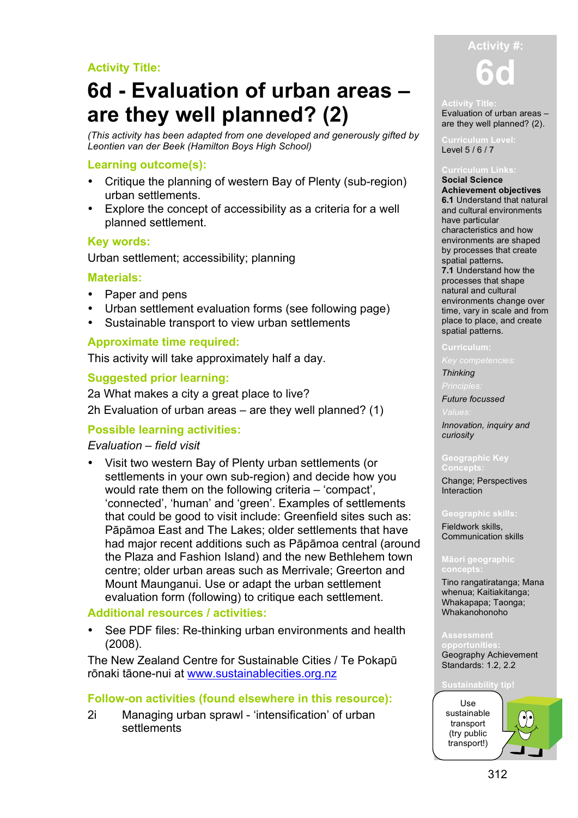# **Activity Title:**

# **6d - Evaluation of urban areas – are they well planned? (2)**

*(This activity has been adapted from one developed and generously gifted by Leontien van der Beek (Hamilton Boys High School)*

# **Learning outcome(s):**

- Critique the planning of western Bay of Plenty (sub-region) urban settlements.
- Explore the concept of accessibility as a criteria for a well planned settlement.

# **Key words:**

Urban settlement; accessibility; planning

# **Materials:**

- Paper and pens
- Urban settlement evaluation forms (see following page)
- Sustainable transport to view urban settlements

# **Approximate time required:**

This activity will take approximately half a day.

# **Suggested prior learning:**

2a What makes a city a great place to live? 2h Evaluation of urban areas – are they well planned? (1)

# **Possible learning activities:**

# *Evaluation – field visit*

• Visit two western Bay of Plenty urban settlements (or settlements in your own sub-region) and decide how you would rate them on the following criteria – 'compact', 'connected', 'human' and 'green'. Examples of settlements that could be good to visit include: Greenfield sites such as: Pāpāmoa East and The Lakes; older settlements that have had major recent additions such as Pāpāmoa central (around the Plaza and Fashion Island) and the new Bethlehem town centre; older urban areas such as Merrivale; Greerton and Mount Maunganui. Use or adapt the urban settlement evaluation form (following) to critique each settlement.

# **Additional resources / activities:**

See PDF files: Re-thinking urban environments and health (2008).

The New Zealand Centre for Sustainable Cities / Te Pokapū rōnaki tāone-nui at www.sustainablecities.org.nz

# **Follow-on activities (found elsewhere in this resource):**

2i Managing urban sprawl - 'intensification' of urban **settlements** 



### **Activity Title:**

Evaluation of urban areas – are they well planned? (2).

Level 5 / 6 / 7

### **Social Science Achievement objectives 6.1** Understand that natural and cultural environments have particular characteristics and how environments are shaped by processes that create spatial patterns**. 7.1** Understand how the processes that shape natural and cultural environments change over time, vary in scale and from place to place, and create spatial patterns.

### **Curriculum:**

### *Thinking*

*Future focussed*

*Innovation, inquiry and curiosity*

Change; Perspectives Interaction

Fieldwork skills, Communication skills

# **Māori geographic**

Tino rangatiratanga; Mana whenua; Kaitiakitanga; Whakapapa; Taonga; Whakanohonoho

### **Assessment**

**opportunities:** Geography Achievement Standards: 1.2, 2.2